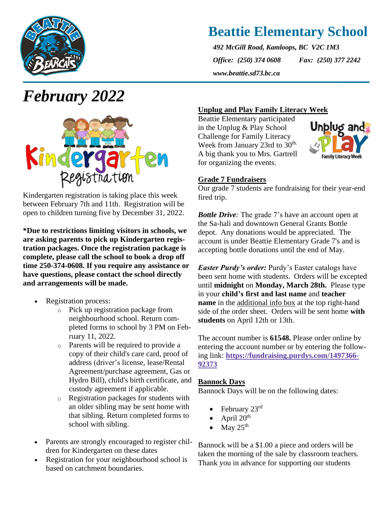

## **Beattie Elementary School**

*492 McGill Road, Kamloops, BC V2C 1M3 Office: (250) 374 0608 Fax: (250) 377 2242 www.beattie.sd73.bc.ca*

# *February 2022*



Kindergarten registration is taking place this week between February 7th and 11th. Registration will be open to children turning five by December 31, 2022.

**\*Due to restrictions limiting visitors in schools, we are asking parents to pick up Kindergarten registration packages. Once the registration package is complete, please call the school to book a drop off time 250-374-0608. If you require any assistance or have questions, please contact the school directly and arrangements will be made.**

- Registration process:
	- o Pick up registration package from neighbourhood school. Return completed forms to school by 3 PM on February 11, 2022.
	- o Parents will be required to provide a copy of their child's care card, proof of address (driver's license, lease/Rental Agreement/purchase agreement, Gas or Hydro Bill), child's birth certificate, and custody agreement if applicable.
	- o Registration packages for students with an older sibling may be sent home with that sibling. Return completed forms to school with sibling.
- Parents are strongly encouraged to register children for Kindergarten on these dates
- Registration for your neighbourhood school is based on catchment boundaries.

## **Unplug and Play Family Literacy Week**

Beattie Elementary participated in the Unplug & Play School Challenge for Family Literacy Week from January 23rd to 30<sup>th.</sup> A big thank you to Mrs. Gartrell for organizing the events.



## **Grade 7 Fundraisers**

Our grade 7 students are fundraising for their year-end fired trip.

*Bottle Drive*: The grade 7's have an account open at the Sa-hali and downtown General Grants Bottle depot. Any donations would be appreciated. The account is under Beattie Elementary Grade 7's and is accepting bottle donations until the end of May.

*Easter Purdy's order:* Purdy's Easter catalogs have been sent home with students. Orders will be excepted until **midnight** on **Monday, March 28th.** Please type in your **child's first and last name** and **teacher name** in the additional info box at the top right-hand side of the order sheet. Orders will be sent home **with students** on April 12th or 13th.

The account number is **61548.** Please order online by entering the account number or by entering the following link: **[https://fundraising.purdys.com/1497366-](https://fundraising.purdys.com/1497366-92373) [92373](https://fundraising.purdys.com/1497366-92373)**

## **Bannock Days**

Bannock Days will be on the following dates:

- February 23rd
- April  $20^{th}$
- May  $25^{\text{th}}$

Bannock will be a \$1.00 a piece and orders will be taken the morning of the sale by classroom teachers. Thank you in advance for supporting our students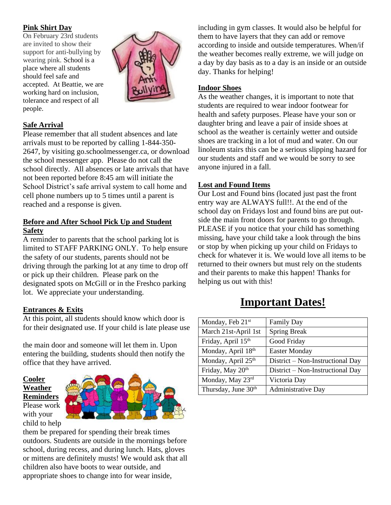## **Pink Shirt Day**

On February 23rd students are invited to show their support for anti-bullying by wearing pink. School is a place where all students should feel safe and accepted. At Beattie, we are working hard on inclusion, tolerance and respect of all people.



## **Safe Arrival**

Please remember that all student absences and late arrivals must to be reported by calling 1-844-350- 2647, by visiting go.schoolmessenger.ca, or download the school messenger app. Please do not call the school directly. All absences or late arrivals that have not been reported before 8:45 am will initiate the School District's safe arrival system to call home and cell phone numbers up to 5 times until a parent is reached and a response is given.

## **Before and After School Pick Up and Student Safety**

A reminder to parents that the school parking lot is limited to STAFF PARKING ONLY. To help ensure the safety of our students, parents should not be driving through the parking lot at any time to drop off or pick up their children. Please park on the designated spots on McGill or in the Freshco parking lot. We appreciate your understanding.

## **Entrances & Exits**

At this point, all students should know which door is for their designated use. If your child is late please use

the main door and someone will let them in. Upon entering the building, students should then notify the office that they have arrived.

**Cooler Weather Reminders** Please work

with your



them be prepared for spending their break times outdoors. Students are outside in the mornings before school, during recess, and during lunch. Hats, gloves or mittens are definitely musts! We would ask that all children also have boots to wear outside, and appropriate shoes to change into for wear inside,

including in gym classes. It would also be helpful for them to have layers that they can add or remove according to inside and outside temperatures. When/if the weather becomes really extreme, we will judge on a day by day basis as to a day is an inside or an outside day. Thanks for helping!

### **Indoor Shoes**

As the weather changes, it is important to note that students are required to wear indoor footwear for health and safety purposes. Please have your son or daughter bring and leave a pair of inside shoes at school as the weather is certainly wetter and outside shoes are tracking in a lot of mud and water. On our linoleum stairs this can be a serious slipping hazard for our students and staff and we would be sorry to see anyone injured in a fall.

### **Lost and Found Items**

Our Lost and Found bins (located just past the front entry way are ALWAYS full!!. At the end of the school day on Fridays lost and found bins are put outside the main front doors for parents to go through. PLEASE if you notice that your child has something missing, have your child take a look through the bins or stop by when picking up your child on Fridays to check for whatever it is. We would love all items to be returned to their owners but must rely on the students and their parents to make this happen! Thanks for helping us out with this!

## **Important Dates!**

| Monday, Feb 21 <sup>st</sup> | <b>Family Day</b>                |
|------------------------------|----------------------------------|
| March 21st-April 1st         | <b>Spring Break</b>              |
| Friday, April 15th           | Good Friday                      |
| Monday, April 18th           | <b>Easter Monday</b>             |
| Monday, April 25th           | District – Non-Instructional Day |
| Friday, May 20 <sup>th</sup> | District - Non-Instructional Day |
| Monday, May 23rd             | Victoria Day                     |
| Thursday, June 30th          | Administrative Day               |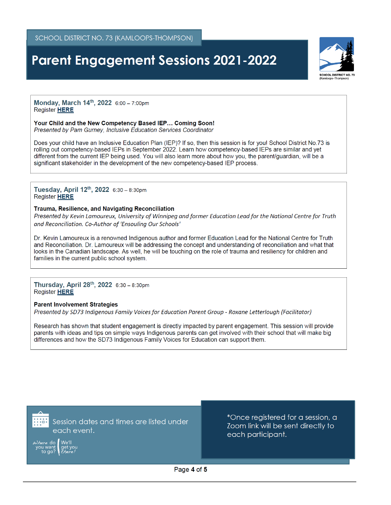## **Parent Engagement Sessions 2021-2022**



Monday, March 14th, 2022 6:00 - 7:00pm **Register HERE** 

#### Your Child and the New Competency Based IEP... Coming Soon!

Presented by Pam Gurney, Inclusive Education Services Coordinator

Does your child have an Inclusive Education Plan (IEP)? If so, then this session is for you! School District No.73 is rolling out competency-based IEPs in September 2022. Learn how competency-based IEPs are similar and yet different from the current IEP being used. You will also learn more about how you, the parent/guardian, will be a significant stakeholder in the development of the new competency-based IEP process.

### Tuesday, April 12th, 2022 6:30 - 8:30pm **Register HERE**

#### Trauma, Resilience, and Navigating Reconciliation

Presented by Kevin Lamoureux, University of Winnipeg and former Education Lead for the National Centre for Truth and Reconciliation. Co-Author of 'Ensouling Our Schools'

Dr. Kevin Lamoureux is a renowned Indigenous author and former Education Lead for the National Centre for Truth and Reconciliation. Dr. Lamoureux will be addressing the concept and understanding of reconciliation and what that looks in the Canadian landscape. As well, he will be touching on the role of trauma and resiliency for children and families in the current public school system.

### Thursday, April  $28^{th}$ ,  $2022$  6:30 - 8:30pm Register HERE

### **Parent Involvement Strategies**

Presented by SD73 Indigenous Family Voices for Education Parent Group - Roxane Letterlough (Facilitator)

Research has shown that student engagement is directly impacted by parent engagement. This session will provide parents with ideas and tips on simple ways Indigenous parents can get involved with their school that will make big differences and how the SD73 Indigenous Family Voices for Education can support them.



Session dates and times are listed under each event.

\*Once registered for a session, a Zoom link will be sent directly to each participant.

Page 4 of 5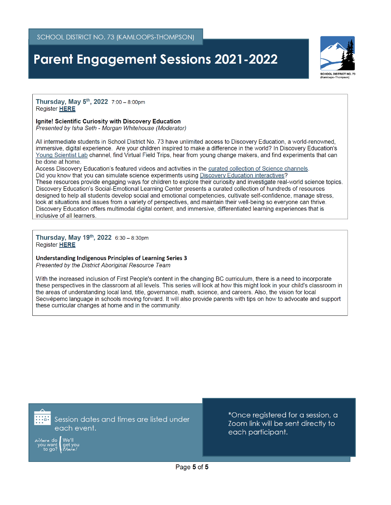## **Parent Engagement Sessions 2021-2022**



Thursday, May 5<sup>th</sup>, 2022 7:00 - 8:00pm Register HERE

#### **Ignite! Scientific Curiosity with Discovery Education**

Presented by Isha Seth - Morgan Whitehouse (Moderator)

All intermediate students in School District No. 73 have unlimited access to Discovery Education, a world-renowned. immersive, digital experience. Are your children inspired to make a difference in the world? In Discovery Education's Young Scientist Lab channel, find Virtual Field Trips, hear from young change makers, and find experiments that can be done at home.

Access Discovery Education's featured videos and activities in the curated collection of Science channels. Did you know that you can simulate science experiments using Discovery Education interactives?

These resources provide engaging ways for children to explore their curiosity and investigate real-world science topics. Discovery Education's Social-Emotional Learning Center presents a curated collection of hundreds of resources designed to help all students develop social and emotional competencies, cultivate self-confidence, manage stress, look at situations and issues from a variety of perspectives, and maintain their well-being so everyone can thrive. Discovery Education offers multimodal digital content, and immersive, differentiated learning experiences that is inclusive of all learners.

Thursday, May 19th, 2022  $6:30 - 8:30$ pm Register HERE

### Understanding Indigenous Principles of Learning Series 3

Presented by the District Aboriginal Resource Team

With the increased inclusion of First People's content in the changing BC curriculum, there is a need to incorporate these perspectives in the classroom at all levels. This series will look at how this might look in your child's classroom in the areas of understanding local land, title, governance, math, science, and careers. Also, the vision for local Secwépemc language in schools moving forward. It will also provide parents with tips on how to advocate and support these curricular changes at home and in the community.

Session dates and times are listed under each event.

\*Once registered for a session, a Zoom link will be sent directly to each participant.